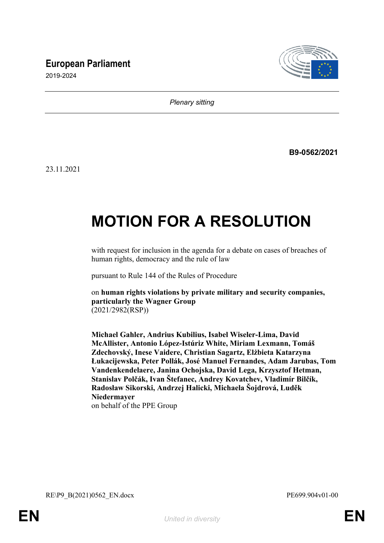## **European Parliament**



2019-2024

*Plenary sitting*

**B9-0562/2021**

23.11.2021

# **MOTION FOR A RESOLUTION**

with request for inclusion in the agenda for a debate on cases of breaches of human rights, democracy and the rule of law

pursuant to Rule 144 of the Rules of Procedure

on **human rights violations by private military and security companies, particularly the Wagner Group**  (2021/2982(RSP))

**Michael Gahler, Andrius Kubilius, Isabel Wiseler-Lima, David McAllister, Antonio López-Istúriz White, Miriam Lexmann, Tomáš Zdechovský, Inese Vaidere, Christian Sagartz, Elżbieta Katarzyna Łukacijewska, Peter Pollák, José Manuel Fernandes, Adam Jarubas, Tom Vandenkendelaere, Janina Ochojska, David Lega, Krzysztof Hetman, Stanislav Polčák, Ivan Štefanec, Andrey Kovatchev, Vladimír Bilčík, Radosław Sikorski, Andrzej Halicki, Michaela Šojdrová, Luděk Niedermayer** on behalf of the PPE Group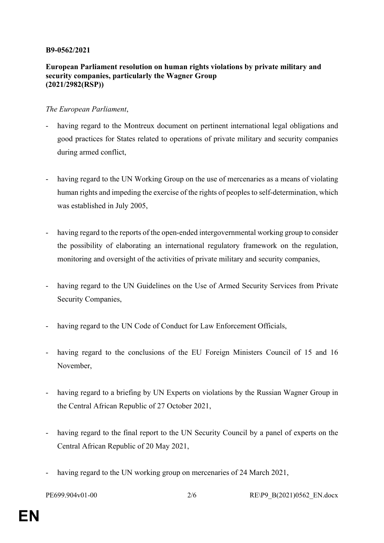#### **B9-0562/2021**

### **European Parliament resolution on human rights violations by private military and security companies, particularly the Wagner Group (2021/2982(RSP))**

#### *The European Parliament*,

- having regard to the Montreux document on pertinent international legal obligations and good practices for States related to operations of private military and security companies during armed conflict,
- having regard to the UN Working Group on the use of mercenaries as a means of violating human rights and impeding the exercise of the rights of peoples to self-determination, which was established in July 2005,
- having regard to the reports of the open-ended intergovernmental working group to consider the possibility of elaborating an international regulatory framework on the regulation, monitoring and oversight of the activities of private military and security companies,
- having regard to the UN Guidelines on the Use of Armed Security Services from Private Security Companies,
- having regard to the UN Code of Conduct for Law Enforcement Officials,
- having regard to the conclusions of the EU Foreign Ministers Council of 15 and 16 November,
- having regard to a briefing by UN Experts on violations by the Russian Wagner Group in the Central African Republic of 27 October 2021,
- having regard to the final report to the UN Security Council by a panel of experts on the Central African Republic of 20 May 2021,
- having regard to the UN working group on mercenaries of 24 March 2021,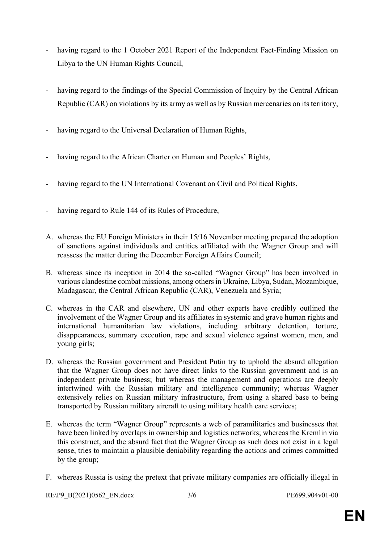- having regard to the 1 October 2021 Report of the Independent Fact-Finding Mission on Libya to the UN Human Rights Council,
- having regard to the findings of the Special Commission of Inquiry by the Central African Republic (CAR) on violations by its army as well as by Russian mercenaries on its territory,
- having regard to the Universal Declaration of Human Rights,
- having regard to the African Charter on Human and Peoples' Rights,
- having regard to the UN International Covenant on Civil and Political Rights,
- having regard to Rule 144 of its Rules of Procedure,
- A. whereas the EU Foreign Ministers in their 15/16 November meeting prepared the adoption of sanctions against individuals and entities affiliated with the Wagner Group and will reassess the matter during the December Foreign Affairs Council;
- B. whereas since its inception in 2014 the so-called "Wagner Group" has been involved in various clandestine combat missions, among others in Ukraine, Libya, Sudan, Mozambique, Madagascar, the Central African Republic (CAR), Venezuela and Syria;
- C. whereas in the CAR and elsewhere, UN and other experts have credibly outlined the involvement of the Wagner Group and its affiliates in systemic and grave human rights and international humanitarian law violations, including arbitrary detention, torture, disappearances, summary execution, rape and sexual violence against women, men, and young girls;
- D. whereas the Russian government and President Putin try to uphold the absurd allegation that the Wagner Group does not have direct links to the Russian government and is an independent private business; but whereas the management and operations are deeply intertwined with the Russian military and intelligence community; whereas Wagner extensively relies on Russian military infrastructure, from using a shared base to being transported by Russian military aircraft to using military health care services;
- E. whereas the term "Wagner Group" represents a web of paramilitaries and businesses that have been linked by overlaps in ownership and logistics networks; whereas the Kremlin via this construct, and the absurd fact that the Wagner Group as such does not exist in a legal sense, tries to maintain a plausible deniability regarding the actions and crimes committed by the group;
- F. whereas Russia is using the pretext that private military companies are officially illegal in

RE\P9\_B(2021)0562\_EN.docx 3/6 PE699.904v01-00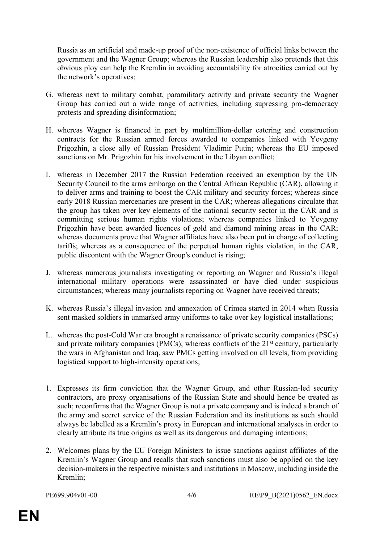Russia as an artificial and made-up proof of the non-existence of official links between the government and the Wagner Group; whereas the Russian leadership also pretends that this obvious ploy can help the Kremlin in avoiding accountability for atrocities carried out by the network's operatives;

- G. whereas next to military combat, paramilitary activity and private security the Wagner Group has carried out a wide range of activities, including supressing pro-democracy protests and spreading disinformation;
- H. whereas Wagner is financed in part by multimillion-dollar catering and construction contracts for the Russian armed forces awarded to companies linked with Yevgeny Prigozhin, a close ally of Russian President Vladimir Putin; whereas the EU imposed sanctions on Mr. Prigozhin for his involvement in the Libyan conflict;
- I. whereas in December 2017 the Russian Federation received an exemption by the UN Security Council to the arms embargo on the Central African Republic (CAR), allowing it to deliver arms and training to boost the CAR military and security forces; whereas since early 2018 Russian mercenaries are present in the CAR; whereas allegations circulate that the group has taken over key elements of the national security sector in the CAR and is committing serious human rights violations; whereas companies linked to Yevgeny Prigozhin have been awarded licences of gold and diamond mining areas in the CAR; whereas documents prove that Wagner affiliates have also been put in charge of collecting tariffs; whereas as a consequence of the perpetual human rights violation, in the CAR, public discontent with the Wagner Group's conduct is rising;
- J. whereas numerous journalists investigating or reporting on Wagner and Russia's illegal international military operations were assassinated or have died under suspicious circumstances; whereas many journalists reporting on Wagner have received threats;
- K. whereas Russia's illegal invasion and annexation of Crimea started in 2014 when Russia sent masked soldiers in unmarked army uniforms to take over key logistical installations;
- L. whereas the post-Cold War era brought a renaissance of private security companies (PSCs) and private military companies (PMCs); whereas conflicts of the 21st century, particularly the wars in Afghanistan and Iraq, saw PMCs getting involved on all levels, from providing logistical support to high-intensity operations;
- 1. Expresses its firm conviction that the Wagner Group, and other Russian-led security contractors, are proxy organisations of the Russian State and should hence be treated as such; reconfirms that the Wagner Group is not a private company and is indeed a branch of the army and secret service of the Russian Federation and its institutions as such should always be labelled as a Kremlin's proxy in European and international analyses in order to clearly attribute its true origins as well as its dangerous and damaging intentions;
- 2. Welcomes plans by the EU Foreign Ministers to issue sanctions against affiliates of the Kremlin's Wagner Group and recalls that such sanctions must also be applied on the key decision-makers in the respective ministers and institutions in Moscow, including inside the Kremlin;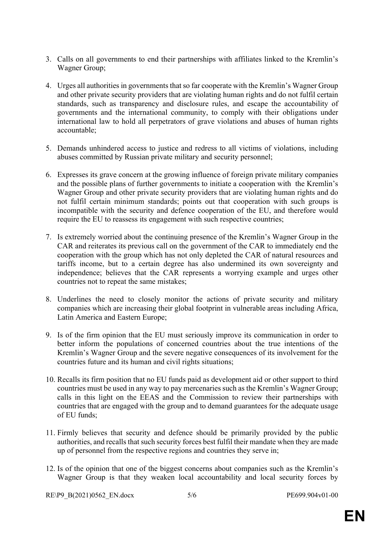- 3. Calls on all governments to end their partnerships with affiliates linked to the Kremlin's Wagner Group;
- 4. Urges all authorities in governments that so far cooperate with the Kremlin's Wagner Group and other private security providers that are violating human rights and do not fulfil certain standards, such as transparency and disclosure rules, and escape the accountability of governments and the international community, to comply with their obligations under international law to hold all perpetrators of grave violations and abuses of human rights accountable;
- 5. Demands unhindered access to justice and redress to all victims of violations, including abuses committed by Russian private military and security personnel;
- 6. Expresses its grave concern at the growing influence of foreign private military companies and the possible plans of further governments to initiate a cooperation with the Kremlin's Wagner Group and other private security providers that are violating human rights and do not fulfil certain minimum standards; points out that cooperation with such groups is incompatible with the security and defence cooperation of the EU, and therefore would require the EU to reassess its engagement with such respective countries;
- 7. Is extremely worried about the continuing presence of the Kremlin's Wagner Group in the CAR and reiterates its previous call on the government of the CAR to immediately end the cooperation with the group which has not only depleted the CAR of natural resources and tariffs income, but to a certain degree has also undermined its own sovereignty and independence; believes that the CAR represents a worrying example and urges other countries not to repeat the same mistakes;
- 8. Underlines the need to closely monitor the actions of private security and military companies which are increasing their global footprint in vulnerable areas including Africa, Latin America and Eastern Europe;
- 9. Is of the firm opinion that the EU must seriously improve its communication in order to better inform the populations of concerned countries about the true intentions of the Kremlin's Wagner Group and the severe negative consequences of its involvement for the countries future and its human and civil rights situations;
- 10. Recalls its firm position that no EU funds paid as development aid or other support to third countries must be used in any way to pay mercenaries such as the Kremlin's Wagner Group; calls in this light on the EEAS and the Commission to review their partnerships with countries that are engaged with the group and to demand guarantees for the adequate usage of EU funds;
- 11. Firmly believes that security and defence should be primarily provided by the public authorities, and recalls that such security forces best fulfil their mandate when they are made up of personnel from the respective regions and countries they serve in;
- 12. Is of the opinion that one of the biggest concerns about companies such as the Kremlin's Wagner Group is that they weaken local accountability and local security forces by